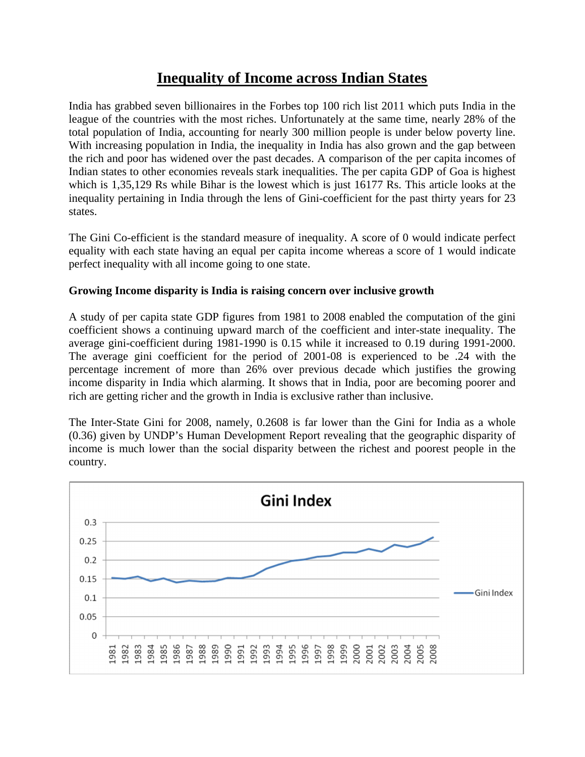# **Inequality of Income across Indian States**

India has grabbed seven billionaires in the Forbes top 100 rich list 2011 which puts India in the league of the countries with the most riches. Unfortunately at the same time, nearly 28% of the total population of India, accounting for nearly 300 million people is under below poverty line. With increasing population in India, the inequality in India has also grown and the gap between the rich and poor has widened over the past decades. A comparison of the per capita incomes of Indian states to other economies reveals stark inequalities. The per capita GDP of Goa is highest which is 1,35,129 Rs while Bihar is the lowest which is just 16177 Rs. This article looks at the inequality pertaining in India through the lens of Gini-coefficient for the past thirty years for 23 states.

The Gini Co-efficient is the standard measure of inequality. A score of 0 would indicate perfect equality with each state having an equal per capita income whereas a score of 1 would indicate perfect inequality with all income going to one state.

# **Growing Income disparity is India is raising concern over inclusive growth**

A study of per capita state GDP figures from 1981 to 2008 enabled the computation of the gini coefficient shows a continuing upward march of the coefficient and inter-state inequality. The average gini-coefficient during 1981-1990 is 0.15 while it increased to 0.19 during 1991-2000. The average gini coefficient for the period of 2001-08 is experienced to be .24 with the percentage increment of more than 26% over previous decade which justifies the growing income disparity in India which alarming. It shows that in India, poor are becoming poorer and rich are getting richer and the growth in India is exclusive rather than inclusive.

The Inter-State Gini for 2008, namely, 0.2608 is far lower than the Gini for India as a whole (0.36) given by UNDP's Human Development Report revealing that the geographic disparity of income is much lower than the social disparity between the richest and poorest people in the country.

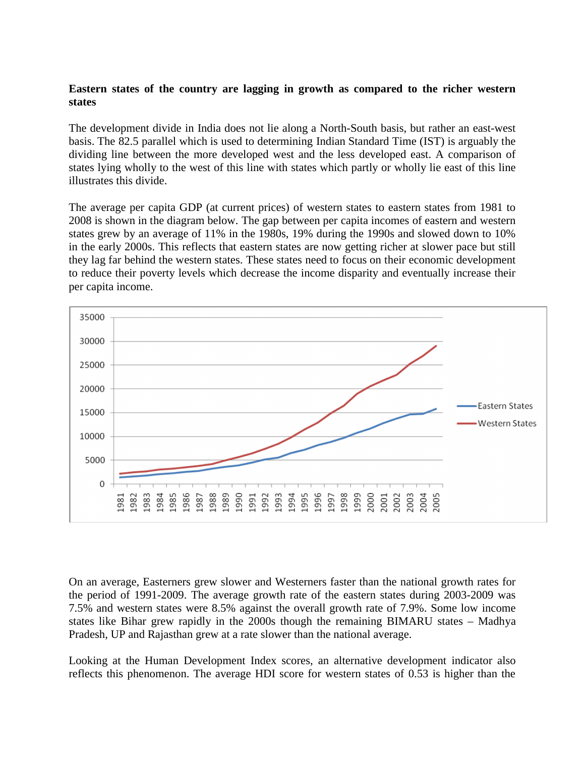### **Eastern states of the country are lagging in growth as compared to the richer western states**

The development divide in India does not lie along a North-South basis, but rather an east-west basis. The 82.5 parallel which is used to determining Indian Standard Time (IST) is arguably the dividing line between the more developed west and the less developed east. A comparison of states lying wholly to the west of this line with states which partly or wholly lie east of this line illustrates this divide.

The average per capita GDP (at current prices) of western states to eastern states from 1981 to 2008 is shown in the diagram below. The gap between per capita incomes of eastern and western states grew by an average of 11% in the 1980s, 19% during the 1990s and slowed down to 10% in the early 2000s. This reflects that eastern states are now getting richer at slower pace but still they lag far behind the western states. These states need to focus on their economic development to reduce their poverty levels which decrease the income disparity and eventually increase their per capita income.



On an average, Easterners grew slower and Westerners faster than the national growth rates for the period of 1991-2009. The average growth rate of the eastern states during 2003-2009 was 7.5% and western states were 8.5% against the overall growth rate of 7.9%. Some low income states like Bihar grew rapidly in the 2000s though the remaining BIMARU states – Madhya Pradesh, UP and Rajasthan grew at a rate slower than the national average.

Looking at the Human Development Index scores, an alternative development indicator also reflects this phenomenon. The average HDI score for western states of 0.53 is higher than the